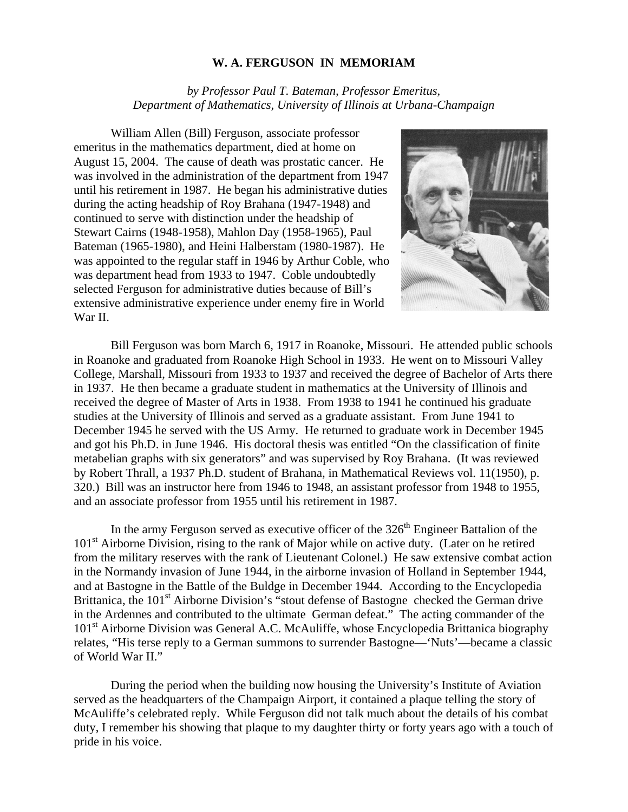## **W. A. FERGUSON IN MEMORIAM**

*by Professor Paul T. Bateman, Professor Emeritus, Department of Mathematics, University of Illinois at Urbana-Champaign* 

William Allen (Bill) Ferguson, associate professor emeritus in the mathematics department, died at home on August 15, 2004. The cause of death was prostatic cancer. He was involved in the administration of the department from 1947 until his retirement in 1987. He began his administrative duties during the acting headship of Roy Brahana (1947-1948) and continued to serve with distinction under the headship of Stewart Cairns (1948-1958), Mahlon Day (1958-1965), Paul Bateman (1965-1980), and Heini Halberstam (1980-1987). He was appointed to the regular staff in 1946 by Arthur Coble, who was department head from 1933 to 1947. Coble undoubtedly selected Ferguson for administrative duties because of Bill's extensive administrative experience under enemy fire in World War II.



Bill Ferguson was born March 6, 1917 in Roanoke, Missouri. He attended public schools in Roanoke and graduated from Roanoke High School in 1933. He went on to Missouri Valley College, Marshall, Missouri from 1933 to 1937 and received the degree of Bachelor of Arts there in 1937. He then became a graduate student in mathematics at the University of Illinois and received the degree of Master of Arts in 1938. From 1938 to 1941 he continued his graduate studies at the University of Illinois and served as a graduate assistant. From June 1941 to December 1945 he served with the US Army. He returned to graduate work in December 1945 and got his Ph.D. in June 1946. His doctoral thesis was entitled "On the classification of finite metabelian graphs with six generators" and was supervised by Roy Brahana. (It was reviewed by Robert Thrall, a 1937 Ph.D. student of Brahana, in Mathematical Reviews vol. 11(1950), p. 320.) Bill was an instructor here from 1946 to 1948, an assistant professor from 1948 to 1955, and an associate professor from 1955 until his retirement in 1987.

In the army Ferguson served as executive officer of the  $326<sup>th</sup>$  Engineer Battalion of the 101<sup>st</sup> Airborne Division, rising to the rank of Major while on active duty. (Later on he retired from the military reserves with the rank of Lieutenant Colonel.) He saw extensive combat action in the Normandy invasion of June 1944, in the airborne invasion of Holland in September 1944, and at Bastogne in the Battle of the Buldge in December 1944. According to the Encyclopedia Brittanica, the 101<sup>st</sup> Airborne Division's "stout defense of Bastogne checked the German drive in the Ardennes and contributed to the ultimate German defeat." The acting commander of the 101<sup>st</sup> Airborne Division was General A.C. McAuliffe, whose Encyclopedia Brittanica biography relates, "His terse reply to a German summons to surrender Bastogne—'Nuts'—became a classic of World War II."

During the period when the building now housing the University's Institute of Aviation served as the headquarters of the Champaign Airport, it contained a plaque telling the story of McAuliffe's celebrated reply. While Ferguson did not talk much about the details of his combat duty, I remember his showing that plaque to my daughter thirty or forty years ago with a touch of pride in his voice.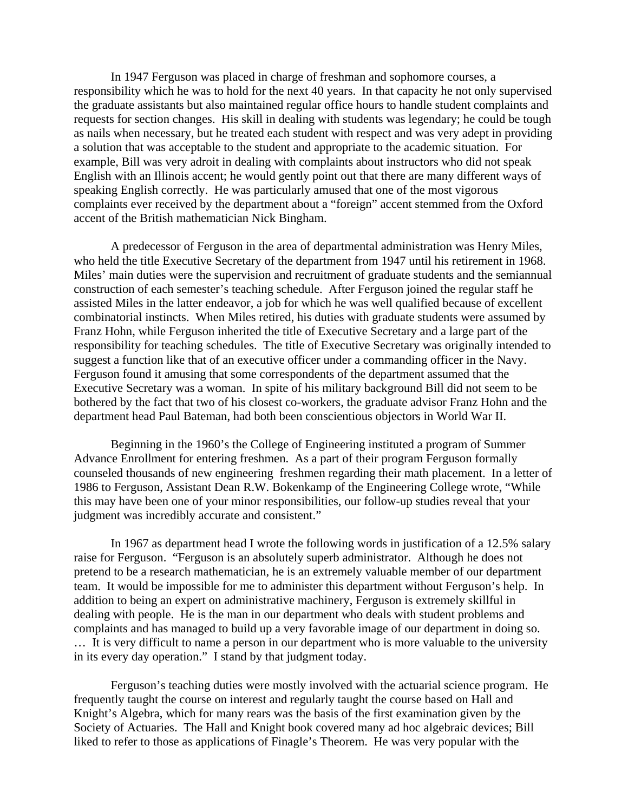In 1947 Ferguson was placed in charge of freshman and sophomore courses, a responsibility which he was to hold for the next 40 years. In that capacity he not only supervised the graduate assistants but also maintained regular office hours to handle student complaints and requests for section changes. His skill in dealing with students was legendary; he could be tough as nails when necessary, but he treated each student with respect and was very adept in providing a solution that was acceptable to the student and appropriate to the academic situation. For example, Bill was very adroit in dealing with complaints about instructors who did not speak English with an Illinois accent; he would gently point out that there are many different ways of speaking English correctly. He was particularly amused that one of the most vigorous complaints ever received by the department about a "foreign" accent stemmed from the Oxford accent of the British mathematician Nick Bingham.

 A predecessor of Ferguson in the area of departmental administration was Henry Miles, who held the title Executive Secretary of the department from 1947 until his retirement in 1968. Miles' main duties were the supervision and recruitment of graduate students and the semiannual construction of each semester's teaching schedule. After Ferguson joined the regular staff he assisted Miles in the latter endeavor, a job for which he was well qualified because of excellent combinatorial instincts. When Miles retired, his duties with graduate students were assumed by Franz Hohn, while Ferguson inherited the title of Executive Secretary and a large part of the responsibility for teaching schedules. The title of Executive Secretary was originally intended to suggest a function like that of an executive officer under a commanding officer in the Navy. Ferguson found it amusing that some correspondents of the department assumed that the Executive Secretary was a woman. In spite of his military background Bill did not seem to be bothered by the fact that two of his closest co-workers, the graduate advisor Franz Hohn and the department head Paul Bateman, had both been conscientious objectors in World War II.

 Beginning in the 1960's the College of Engineering instituted a program of Summer Advance Enrollment for entering freshmen. As a part of their program Ferguson formally counseled thousands of new engineering freshmen regarding their math placement. In a letter of 1986 to Ferguson, Assistant Dean R.W. Bokenkamp of the Engineering College wrote, "While this may have been one of your minor responsibilities, our follow-up studies reveal that your judgment was incredibly accurate and consistent."

 In 1967 as department head I wrote the following words in justification of a 12.5% salary raise for Ferguson. "Ferguson is an absolutely superb administrator. Although he does not pretend to be a research mathematician, he is an extremely valuable member of our department team. It would be impossible for me to administer this department without Ferguson's help. In addition to being an expert on administrative machinery, Ferguson is extremely skillful in dealing with people. He is the man in our department who deals with student problems and complaints and has managed to build up a very favorable image of our department in doing so. … It is very difficult to name a person in our department who is more valuable to the university in its every day operation." I stand by that judgment today.

Ferguson's teaching duties were mostly involved with the actuarial science program. He frequently taught the course on interest and regularly taught the course based on Hall and Knight's Algebra, which for many rears was the basis of the first examination given by the Society of Actuaries. The Hall and Knight book covered many ad hoc algebraic devices; Bill liked to refer to those as applications of Finagle's Theorem. He was very popular with the